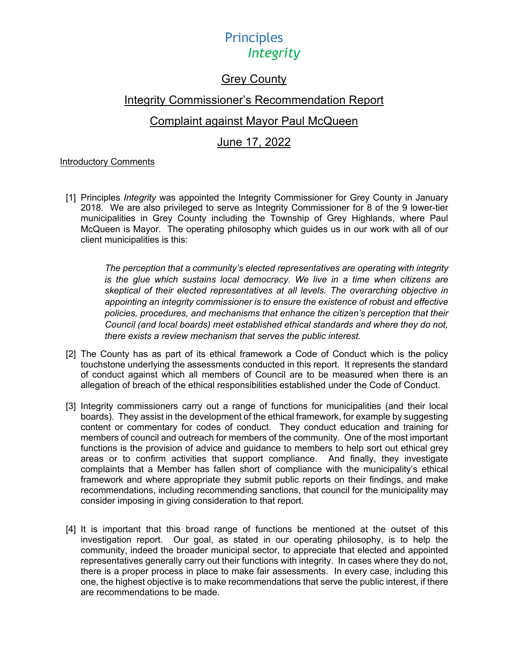### Grey County

### Integrity Commissioner's Recommendation Report

### Complaint against Mayor Paul McQueen

### June 17, 2022

### Introductory Comments

[1] Principles *Integrity* was appointed the Integrity Commissioner for Grey County in January 2018. We are also privileged to serve as Integrity Commissioner for 8 of the 9 lower-tier municipalities in Grey County including the Township of Grey Highlands, where Paul McQueen is Mayor. The operating philosophy which guides us in our work with all of our client municipalities is this:

> *The perception that a community's elected representatives are operating with integrity*  is the glue which sustains local democracy. We live in a time when citizens are *skeptical of their elected representatives at all levels. The overarching objective in appointing an integrity commissioner is to ensure the existence of robust and effective policies, procedures, and mechanisms that enhance the citizen's perception that their Council (and local boards) meet established ethical standards and where they do not, there exists a review mechanism that serves the public interest.*

- [2] The County has as part of its ethical framework a Code of Conduct which is the policy touchstone underlying the assessments conducted in this report. It represents the standard of conduct against which all members of Council are to be measured when there is an allegation of breach of the ethical responsibilities established under the Code of Conduct.
- [3] Integrity commissioners carry out a range of functions for municipalities (and their local boards). They assist in the development of the ethical framework, for example by suggesting content or commentary for codes of conduct. They conduct education and training for members of council and outreach for members of the community. One of the most important functions is the provision of advice and guidance to members to help sort out ethical grey areas or to confirm activities that support compliance. And finally, they investigate complaints that a Member has fallen short of compliance with the municipality's ethical framework and where appropriate they submit public reports on their findings, and make recommendations, including recommending sanctions, that council for the municipality may consider imposing in giving consideration to that report.
- [4] It is important that this broad range of functions be mentioned at the outset of this investigation report. Our goal, as stated in our operating philosophy, is to help the community, indeed the broader municipal sector, to appreciate that elected and appointed representatives generally carry out their functions with integrity. In cases where they do not, there is a proper process in place to make fair assessments. In every case, including this one, the highest objective is to make recommendations that serve the public interest, if there are recommendations to be made.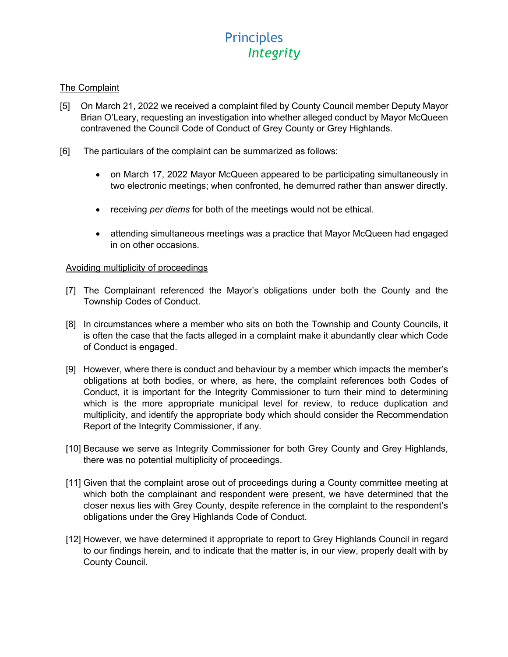### The Complaint

- [5] On March 21, 2022 we received a complaint filed by County Council member Deputy Mayor Brian O'Leary, requesting an investigation into whether alleged conduct by Mayor McQueen contravened the Council Code of Conduct of Grey County or Grey Highlands.
- [6] The particulars of the complaint can be summarized as follows:
	- on March 17, 2022 Mayor McQueen appeared to be participating simultaneously in two electronic meetings; when confronted, he demurred rather than answer directly.
	- receiving *per diems* for both of the meetings would not be ethical.
	- attending simultaneous meetings was a practice that Mayor McQueen had engaged in on other occasions.

#### Avoiding multiplicity of proceedings

- [7] The Complainant referenced the Mayor's obligations under both the County and the Township Codes of Conduct.
- [8] In circumstances where a member who sits on both the Township and County Councils, it is often the case that the facts alleged in a complaint make it abundantly clear which Code of Conduct is engaged.
- [9] However, where there is conduct and behaviour by a member which impacts the member's obligations at both bodies, or where, as here, the complaint references both Codes of Conduct, it is important for the Integrity Commissioner to turn their mind to determining which is the more appropriate municipal level for review, to reduce duplication and multiplicity, and identify the appropriate body which should consider the Recommendation Report of the Integrity Commissioner, if any.
- [10] Because we serve as Integrity Commissioner for both Grey County and Grey Highlands, there was no potential multiplicity of proceedings.
- [11] Given that the complaint arose out of proceedings during a County committee meeting at which both the complainant and respondent were present, we have determined that the closer nexus lies with Grey County, despite reference in the complaint to the respondent's obligations under the Grey Highlands Code of Conduct.
- [12] However, we have determined it appropriate to report to Grey Highlands Council in regard to our findings herein, and to indicate that the matter is, in our view, properly dealt with by County Council.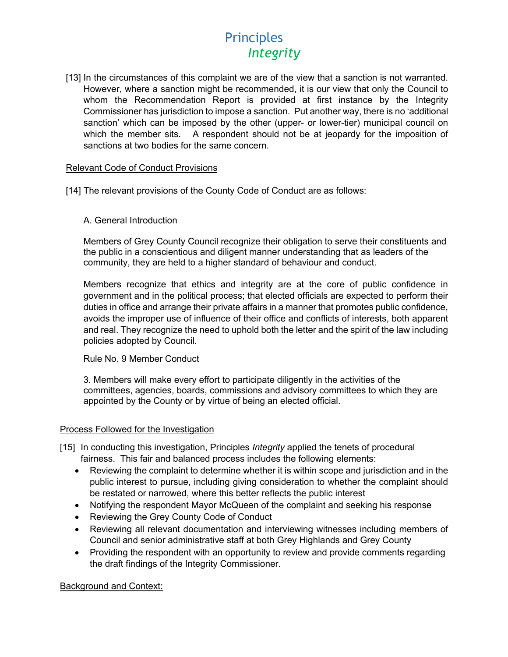[13] In the circumstances of this complaint we are of the view that a sanction is not warranted. However, where a sanction might be recommended, it is our view that only the Council to whom the Recommendation Report is provided at first instance by the Integrity Commissioner has jurisdiction to impose a sanction. Put another way, there is no 'additional sanction' which can be imposed by the other (upper- or lower-tier) municipal council on which the member sits. A respondent should not be at jeopardy for the imposition of sanctions at two bodies for the same concern.

### Relevant Code of Conduct Provisions

- [14] The relevant provisions of the County Code of Conduct are as follows:
	- A. General Introduction

Members of Grey County Council recognize their obligation to serve their constituents and the public in a conscientious and diligent manner understanding that as leaders of the community, they are held to a higher standard of behaviour and conduct.

Members recognize that ethics and integrity are at the core of public confidence in government and in the political process; that elected officials are expected to perform their duties in office and arrange their private affairs in a manner that promotes public confidence, avoids the improper use of influence of their office and conflicts of interests, both apparent and real. They recognize the need to uphold both the letter and the spirit of the law including policies adopted by Council.

#### Rule No. 9 Member Conduct

3. Members will make every effort to participate diligently in the activities of the committees, agencies, boards, commissions and advisory committees to which they are appointed by the County or by virtue of being an elected official.

### Process Followed for the Investigation

- [15] In conducting this investigation, Principles *Integrity* applied the tenets of procedural fairness. This fair and balanced process includes the following elements:
	- Reviewing the complaint to determine whether it is within scope and jurisdiction and in the public interest to pursue, including giving consideration to whether the complaint should be restated or narrowed, where this better reflects the public interest
	- Notifying the respondent Mayor McQueen of the complaint and seeking his response
	- Reviewing the Grey County Code of Conduct
	- Reviewing all relevant documentation and interviewing witnesses including members of Council and senior administrative staff at both Grey Highlands and Grey County
	- Providing the respondent with an opportunity to review and provide comments regarding the draft findings of the Integrity Commissioner.

### Background and Context: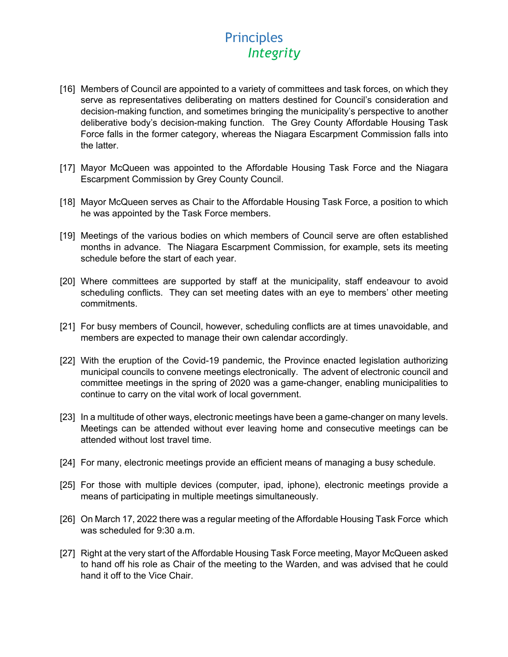- [16] Members of Council are appointed to a variety of committees and task forces, on which they serve as representatives deliberating on matters destined for Council's consideration and decision-making function, and sometimes bringing the municipality's perspective to another deliberative body's decision-making function. The Grey County Affordable Housing Task Force falls in the former category, whereas the Niagara Escarpment Commission falls into the latter.
- [17] Mayor McQueen was appointed to the Affordable Housing Task Force and the Niagara Escarpment Commission by Grey County Council.
- [18] Mayor McQueen serves as Chair to the Affordable Housing Task Force, a position to which he was appointed by the Task Force members.
- [19] Meetings of the various bodies on which members of Council serve are often established months in advance. The Niagara Escarpment Commission, for example, sets its meeting schedule before the start of each year.
- [20] Where committees are supported by staff at the municipality, staff endeavour to avoid scheduling conflicts. They can set meeting dates with an eye to members' other meeting commitments.
- [21] For busy members of Council, however, scheduling conflicts are at times unavoidable, and members are expected to manage their own calendar accordingly.
- [22] With the eruption of the Covid-19 pandemic, the Province enacted legislation authorizing municipal councils to convene meetings electronically. The advent of electronic council and committee meetings in the spring of 2020 was a game-changer, enabling municipalities to continue to carry on the vital work of local government.
- [23] In a multitude of other ways, electronic meetings have been a game-changer on many levels. Meetings can be attended without ever leaving home and consecutive meetings can be attended without lost travel time.
- [24] For many, electronic meetings provide an efficient means of managing a busy schedule.
- [25] For those with multiple devices (computer, ipad, iphone), electronic meetings provide a means of participating in multiple meetings simultaneously.
- [26] On March 17, 2022 there was a regular meeting of the Affordable Housing Task Force which was scheduled for 9:30 a.m.
- [27] Right at the very start of the Affordable Housing Task Force meeting, Mayor McQueen asked to hand off his role as Chair of the meeting to the Warden, and was advised that he could hand it off to the Vice Chair.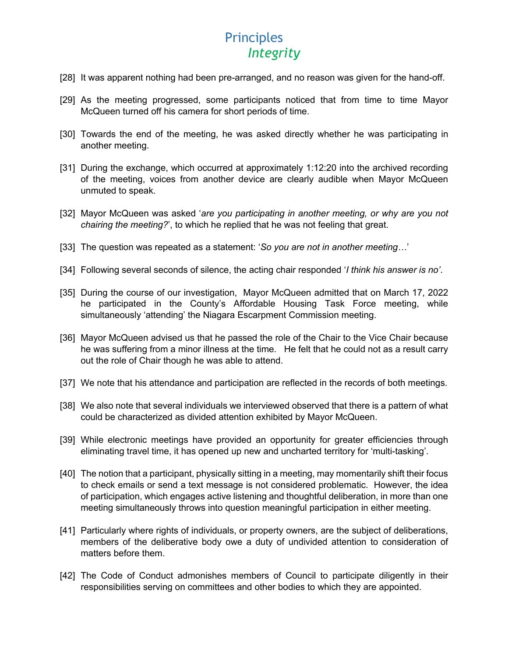- [28] It was apparent nothing had been pre-arranged, and no reason was given for the hand-off.
- [29] As the meeting progressed, some participants noticed that from time to time Mayor McQueen turned off his camera for short periods of time.
- [30] Towards the end of the meeting, he was asked directly whether he was participating in another meeting.
- [31] During the exchange, which occurred at approximately 1:12:20 into the archived recording of the meeting, voices from another device are clearly audible when Mayor McQueen unmuted to speak.
- [32] Mayor McQueen was asked '*are you participating in another meeting, or why are you not chairing the meeting?*', to which he replied that he was not feeling that great.
- [33] The question was repeated as a statement: '*So you are not in another meeting…*'
- [34] Following several seconds of silence, the acting chair responded '*I think his answer is no'*.
- [35] During the course of our investigation, Mayor McQueen admitted that on March 17, 2022 he participated in the County's Affordable Housing Task Force meeting, while simultaneously 'attending' the Niagara Escarpment Commission meeting.
- [36] Mayor McQueen advised us that he passed the role of the Chair to the Vice Chair because he was suffering from a minor illness at the time. He felt that he could not as a result carry out the role of Chair though he was able to attend.
- [37] We note that his attendance and participation are reflected in the records of both meetings.
- [38] We also note that several individuals we interviewed observed that there is a pattern of what could be characterized as divided attention exhibited by Mayor McQueen.
- [39] While electronic meetings have provided an opportunity for greater efficiencies through eliminating travel time, it has opened up new and uncharted territory for 'multi-tasking'.
- [40] The notion that a participant, physically sitting in a meeting, may momentarily shift their focus to check emails or send a text message is not considered problematic. However, the idea of participation, which engages active listening and thoughtful deliberation, in more than one meeting simultaneously throws into question meaningful participation in either meeting.
- [41] Particularly where rights of individuals, or property owners, are the subject of deliberations, members of the deliberative body owe a duty of undivided attention to consideration of matters before them.
- [42] The Code of Conduct admonishes members of Council to participate diligently in their responsibilities serving on committees and other bodies to which they are appointed.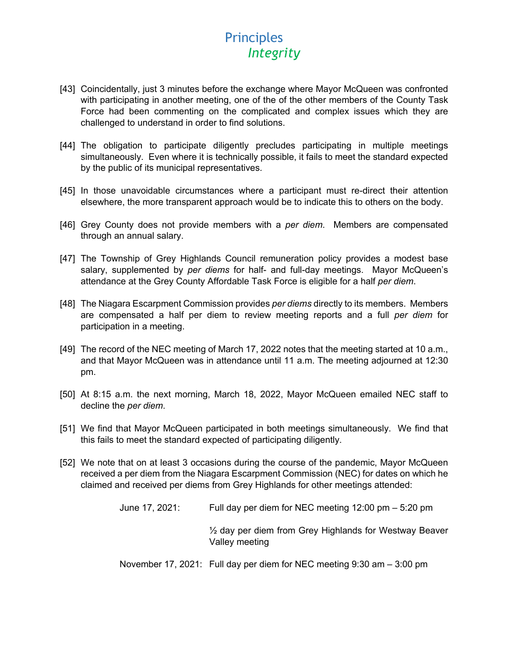- [43] Coincidentally, just 3 minutes before the exchange where Mayor McQueen was confronted with participating in another meeting, one of the of the other members of the County Task Force had been commenting on the complicated and complex issues which they are challenged to understand in order to find solutions.
- [44] The obligation to participate diligently precludes participating in multiple meetings simultaneously. Even where it is technically possible, it fails to meet the standard expected by the public of its municipal representatives.
- [45] In those unavoidable circumstances where a participant must re-direct their attention elsewhere, the more transparent approach would be to indicate this to others on the body.
- [46] Grey County does not provide members with a *per diem*. Members are compensated through an annual salary.
- [47] The Township of Grey Highlands Council remuneration policy provides a modest base salary, supplemented by *per diems* for half- and full-day meetings. Mayor McQueen's attendance at the Grey County Affordable Task Force is eligible for a half *per diem*.
- [48] The Niagara Escarpment Commission provides *per diems* directly to its members. Members are compensated a half per diem to review meeting reports and a full *per diem* for participation in a meeting.
- [49] The record of the NEC meeting of March 17, 2022 notes that the meeting started at 10 a.m., and that Mayor McQueen was in attendance until 11 a.m. The meeting adjourned at 12:30 pm.
- [50] At 8:15 a.m. the next morning, March 18, 2022, Mayor McQueen emailed NEC staff to decline the *per diem*.
- [51] We find that Mayor McQueen participated in both meetings simultaneously. We find that this fails to meet the standard expected of participating diligently.
- [52] We note that on at least 3 occasions during the course of the pandemic, Mayor McQueen received a per diem from the Niagara Escarpment Commission (NEC) for dates on which he claimed and received per diems from Grey Highlands for other meetings attended:

| June 17, 2021: | Full day per diem for NEC meeting $12:00 \text{ pm} - 5:20 \text{ pm}$              |
|----------------|-------------------------------------------------------------------------------------|
|                | $\frac{1}{2}$ day per diem from Grey Highlands for Westway Beaver<br>Valley meeting |

November 17, 2021: Full day per diem for NEC meeting 9:30 am – 3:00 pm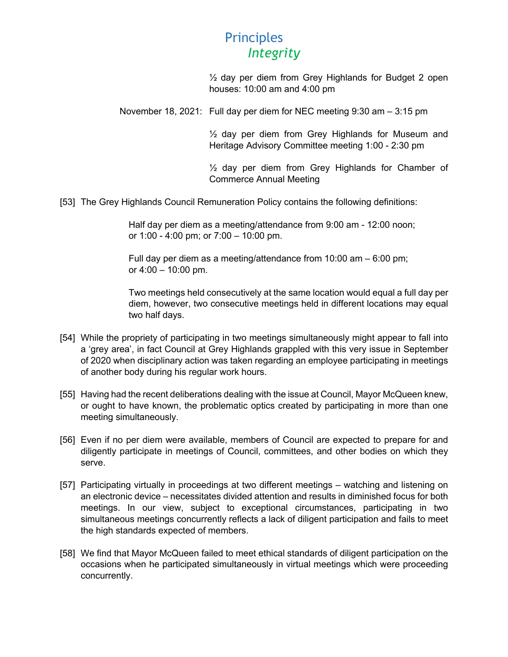½ day per diem from Grey Highlands for Budget 2 open houses: 10:00 am and 4:00 pm

November 18, 2021: Full day per diem for NEC meeting 9:30 am – 3:15 pm

 $\frac{1}{2}$  day per diem from Grey Highlands for Museum and Heritage Advisory Committee meeting 1:00 - 2:30 pm

½ day per diem from Grey Highlands for Chamber of Commerce Annual Meeting

[53] The Grey Highlands Council Remuneration Policy contains the following definitions:

Half day per diem as a meeting/attendance from 9:00 am - 12:00 noon; or 1:00 - 4:00 pm; or 7:00 – 10:00 pm.

Full day per diem as a meeting/attendance from 10:00 am – 6:00 pm; or  $4:00 - 10:00$  pm.

Two meetings held consecutively at the same location would equal a full day per diem, however, two consecutive meetings held in different locations may equal two half days.

- [54] While the propriety of participating in two meetings simultaneously might appear to fall into a 'grey area', in fact Council at Grey Highlands grappled with this very issue in September of 2020 when disciplinary action was taken regarding an employee participating in meetings of another body during his regular work hours.
- [55] Having had the recent deliberations dealing with the issue at Council, Mayor McQueen knew, or ought to have known, the problematic optics created by participating in more than one meeting simultaneously.
- [56] Even if no per diem were available, members of Council are expected to prepare for and diligently participate in meetings of Council, committees, and other bodies on which they serve.
- [57] Participating virtually in proceedings at two different meetings watching and listening on an electronic device – necessitates divided attention and results in diminished focus for both meetings. In our view, subject to exceptional circumstances, participating in two simultaneous meetings concurrently reflects a lack of diligent participation and fails to meet the high standards expected of members.
- [58] We find that Mayor McQueen failed to meet ethical standards of diligent participation on the occasions when he participated simultaneously in virtual meetings which were proceeding concurrently.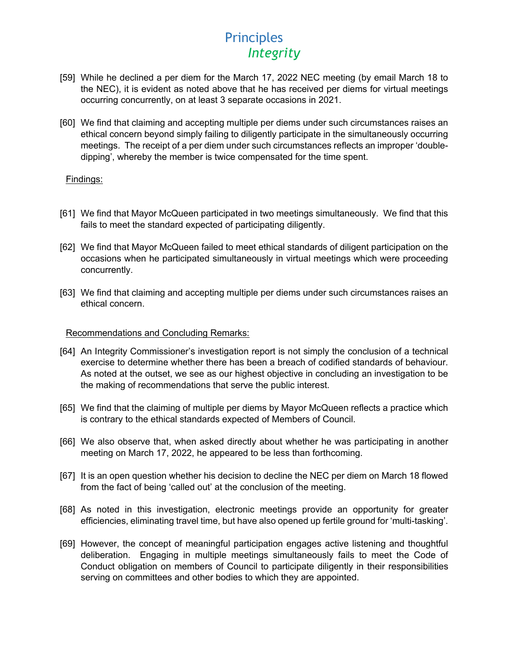- [59] While he declined a per diem for the March 17, 2022 NEC meeting (by email March 18 to the NEC), it is evident as noted above that he has received per diems for virtual meetings occurring concurrently, on at least 3 separate occasions in 2021.
- [60] We find that claiming and accepting multiple per diems under such circumstances raises an ethical concern beyond simply failing to diligently participate in the simultaneously occurring meetings. The receipt of a per diem under such circumstances reflects an improper 'doubledipping', whereby the member is twice compensated for the time spent.

### Findings:

- [61] We find that Mayor McQueen participated in two meetings simultaneously. We find that this fails to meet the standard expected of participating diligently.
- [62] We find that Mayor McQueen failed to meet ethical standards of diligent participation on the occasions when he participated simultaneously in virtual meetings which were proceeding concurrently.
- [63] We find that claiming and accepting multiple per diems under such circumstances raises an ethical concern.

#### Recommendations and Concluding Remarks:

- [64] An Integrity Commissioner's investigation report is not simply the conclusion of a technical exercise to determine whether there has been a breach of codified standards of behaviour. As noted at the outset, we see as our highest objective in concluding an investigation to be the making of recommendations that serve the public interest.
- [65] We find that the claiming of multiple per diems by Mayor McQueen reflects a practice which is contrary to the ethical standards expected of Members of Council.
- [66] We also observe that, when asked directly about whether he was participating in another meeting on March 17, 2022, he appeared to be less than forthcoming.
- [67] It is an open question whether his decision to decline the NEC per diem on March 18 flowed from the fact of being 'called out' at the conclusion of the meeting.
- [68] As noted in this investigation, electronic meetings provide an opportunity for greater efficiencies, eliminating travel time, but have also opened up fertile ground for 'multi-tasking'.
- [69] However, the concept of meaningful participation engages active listening and thoughtful deliberation. Engaging in multiple meetings simultaneously fails to meet the Code of Conduct obligation on members of Council to participate diligently in their responsibilities serving on committees and other bodies to which they are appointed.